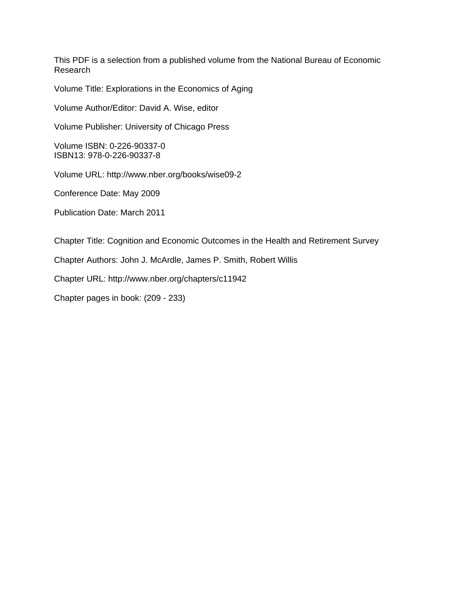This PDF is a selection from a published volume from the National Bureau of Economic Research

Volume Title: Explorations in the Economics of Aging

Volume Author/Editor: David A. Wise, editor

Volume Publisher: University of Chicago Press

Volume ISBN: 0-226-90337-0 ISBN13: 978-0-226-90337-8

Volume URL: http://www.nber.org/books/wise09-2

Conference Date: May 2009

Publication Date: March 2011

Chapter Title: Cognition and Economic Outcomes in the Health and Retirement Survey

Chapter Authors: John J. McArdle, James P. Smith, Robert Willis

Chapter URL: http://www.nber.org/chapters/c11942

Chapter pages in book: (209 - 233)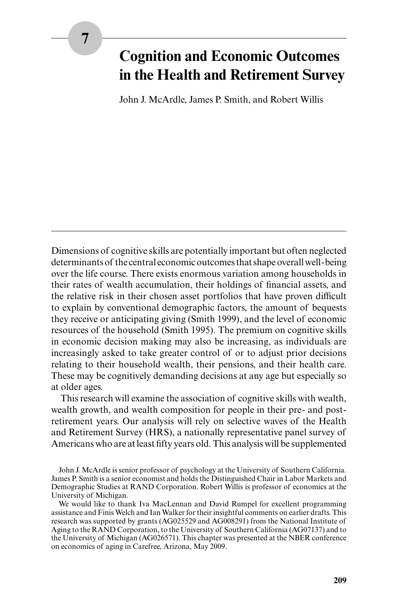# **Cognition and Economic Outcomes in the Health and Retirement Survey**

John J. McArdle, James P. Smith, and Robert Willis

**7**

Dimensions of cognitive skills are potentially important but often neglected determinants of the central economic outcomes that shape overall well- being over the life course. There exists enormous variation among households in their rates of wealth accumulation, their holdings of financial assets, and the relative risk in their chosen asset portfolios that have proven difficult to explain by conventional demographic factors, the amount of bequests they receive or anticipating giving (Smith 1999), and the level of economic resources of the household (Smith 1995). The premium on cognitive skills in economic decision making may also be increasing, as individuals are increasingly asked to take greater control of or to adjust prior decisions relating to their household wealth, their pensions, and their health care. These may be cognitively demanding decisions at any age but especially so at older ages.

This research will examine the association of cognitive skills with wealth, wealth growth, and wealth composition for people in their pre- and post retirement years. Our analysis will rely on selective waves of the Health and Retirement Survey (HRS), a nationally representative panel survey of Americans who are at least fifty years old. This analysis will be supplemented

John J. McArdle is senior professor of psychology at the University of Southern California. James P. Smith is a senior economist and holds the Distinguished Chair in Labor Markets and Demographic Studies at RAND Corporation. Robert Willis is professor of economics at the University of Michigan.

We would like to thank Iva MacLennan and David Rumpel for excellent programming assistance and Finis Welch and Ian Walker for their insightful comments on earlier drafts. This research was supported by grants (AG025529 and AG008291) from the National Institute of Aging to the RAND Corporation, to the University of Southern California (AG07137) and to the University of Michigan (AG026571). This chapter was presented at the NBER conference on economics of aging in Carefree, Arizona, May 2009.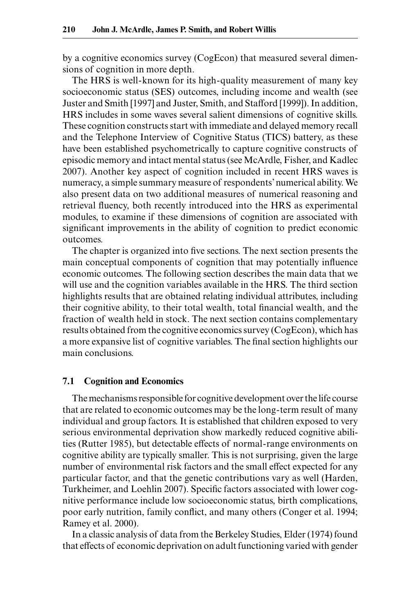by a cognitive economics survey (CogEcon) that measured several dimensions of cognition in more depth.

The HRS is well-known for its high-quality measurement of many key socioeconomic status (SES) outcomes, including income and wealth (see Juster and Smith [1997] and Juster, Smith, and Stafford [1999]). In addition, HRS includes in some waves several salient dimensions of cognitive skills. These cognition constructs start with immediate and delayed memory recall and the Telephone Interview of Cognitive Status (TICS) battery, as these have been established psychometrically to capture cognitive constructs of episodic memory and intact mental status (see McArdle, Fisher, and Kadlec 2007). Another key aspect of cognition included in recent HRS waves is numeracy, a simple summary measure of respondents' numerical ability. We also present data on two additional measures of numerical reasoning and retrieval fluency, both recently introduced into the HRS as experimental modules, to examine if these dimensions of cognition are associated with significant improvements in the ability of cognition to predict economic outcomes.

The chapter is organized into five sections. The next section presents the main conceptual components of cognition that may potentially influence economic outcomes. The following section describes the main data that we will use and the cognition variables available in the HRS. The third section highlights results that are obtained relating individual attributes, including their cognitive ability, to their total wealth, total financial wealth, and the fraction of wealth held in stock. The next section contains complementary results obtained from the cognitive economics survey (CogEcon), which has a more expansive list of cognitive variables. The final section highlights our main conclusions.

## **7.1 Cognition and Economics**

The mechanisms responsible for cognitive development over the life course that are related to economic outcomes may be the long- term result of many individual and group factors. It is established that children exposed to very serious environmental deprivation show markedly reduced cognitive abilities (Rutter 1985), but detectable effects of normal- range environments on cognitive ability are typically smaller. This is not surprising, given the large number of environmental risk factors and the small effect expected for any particular factor, and that the genetic contributions vary as well (Harden, Turkheimer, and Loehlin 2007). Specific factors associated with lower cognitive performance include low socioeconomic status, birth complications, poor early nutrition, family conflict, and many others (Conger et al. 1994; Ramey et al. 2000).

In a classic analysis of data from the Berkeley Studies, Elder (1974) found that effects of economic deprivation on adult functioning varied with gender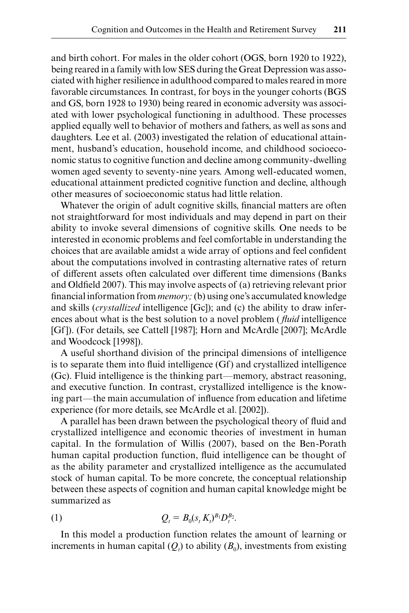and birth cohort. For males in the older cohort (OGS, born 1920 to 1922), being reared in a family with low SES during the Great Depression was associated with higher resilience in adulthood compared to males reared in more favorable circumstances. In contrast, for boys in the younger cohorts (BGS and GS, born 1928 to 1930) being reared in economic adversity was associated with lower psychological functioning in adulthood. These processes applied equally well to behavior of mothers and fathers, as well as sons and daughters. Lee et al. (2003) investigated the relation of educational attainment, husband's education, household income, and childhood socioeconomic status to cognitive function and decline among community- dwelling women aged seventy to seventy-nine years. Among well-educated women, educational attainment predicted cognitive function and decline, although other measures of socioeconomic status had little relation.

Whatever the origin of adult cognitive skills, financial matters are often not straightforward for most individuals and may depend in part on their ability to invoke several dimensions of cognitive skills. One needs to be interested in economic problems and feel comfortable in understanding the choices that are available amidst a wide array of options and feel confident about the computations involved in contrasting alternative rates of return of different assets often calculated over different time dimensions (Banks and Oldfield 2007). This may involve aspects of (a) retrieving relevant prior financial information from *memory*; (b) using one's accumulated knowledge and skills (*crystallized* intelligence [Gc]); and (c) the ability to draw inferences about what is the best solution to a novel problem (*fluid* intelligence [Gf ]). (For details, see Cattell [1987]; Horn and McArdle [2007]; McArdle and Woodcock [1998]).

A useful shorthand division of the principal dimensions of intelligence is to separate them into fluid intelligence (Gf) and crystallized intelligence (Gc). Fluid intelligence is the thinking part—memory, abstract reasoning, and executive function. In contrast, crystallized intelligence is the knowing part—the main accumulation of influence from education and lifetime experience (for more details, see McArdle et al. [2002]).

A parallel has been drawn between the psychological theory of fluid and crystallized intelligence and economic theories of investment in human capital. In the formulation of Willis (2007), based on the Ben- Porath human capital production function, fluid intelligence can be thought of as the ability parameter and crystallized intelligence as the accumulated stock of human capital. To be more concrete, the conceptual relationship between these aspects of cognition and human capital knowledge might be summarized as

(1) 
$$
Q_t = B_0(s_t K_t)^{B_1} D_t^{B_2}.
$$

In this model a production function relates the amount of learning or increments in human capital  $(Q_t)$  to ability  $(B_0)$ , investments from existing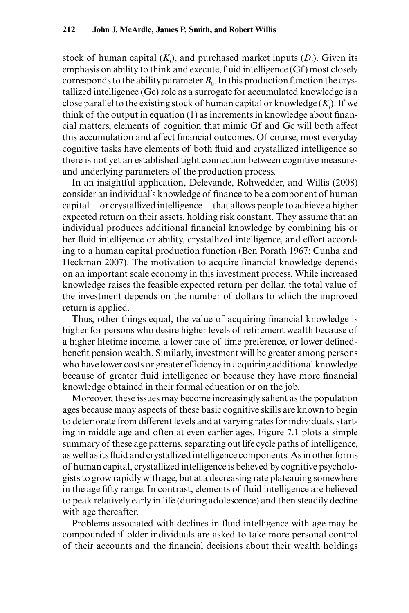stock of human capital  $(K<sub>i</sub>)$ , and purchased market inputs  $(D<sub>i</sub>)$ . Given its emphasis on ability to think and execute, fluid intelligence  $(Gf)$  most closely corresponds to the ability parameter  $B_0$ . In this production function the crystallized intelligence (Gc) role as a surrogate for accumulated knowledge is a close parallel to the existing stock of human capital or knowledge  $(K<sub>t</sub>)$ . If we think of the output in equation  $(1)$  as increments in knowledge about financial matters, elements of cognition that mimic Gf and Gc will both affect this accumulation and affect financial outcomes. Of course, most everyday cognitive tasks have elements of both fluid and crystallized intelligence so there is not yet an established tight connection between cognitive measures and underlying parameters of the production process.

In an insightful application, Delevande, Rohwedder, and Willis (2008) consider an individual's knowledge of finance to be a component of human capital—or crystallized intelligence—that allows people to achieve a higher expected return on their assets, holding risk constant. They assume that an individual produces additional financial knowledge by combining his or her fluid intelligence or ability, crystallized intelligence, and effort according to a human capital production function (Ben Porath 1967; Cunha and Heckman 2007). The motivation to acquire financial knowledge depends on an important scale economy in this investment process. While increased knowledge raises the feasible expected return per dollar, the total value of the investment depends on the number of dollars to which the improved return is applied.

Thus, other things equal, the value of acquiring financial knowledge is higher for persons who desire higher levels of retirement wealth because of a higher lifetime income, a lower rate of time preference, or lower definedbenefit pension wealth. Similarly, investment will be greater among persons who have lower costs or greater efficiency in acquiring additional knowledge because of greater fluid intelligence or because they have more financial knowledge obtained in their formal education or on the job.

Moreover, these issues may become increasingly salient as the population ages because many aspects of these basic cognitive skills are known to begin to deteriorate from different levels and at varying rates for individuals, starting in middle age and often at even earlier ages. Figure 7.1 plots a simple summary of these age patterns, separating out life cycle paths of intelligence, as well as its fluid and crystallized intelligence components. As in other forms of human capital, crystallized intelligence is believed by cognitive psychologists to grow rapidly with age, but at a decreasing rate plateauing somewhere in the age fifty range. In contrast, elements of fluid intelligence are believed to peak relatively early in life (during adolescence) and then steadily decline with age thereafter.

Problems associated with declines in fluid intelligence with age may be compounded if older individuals are asked to take more personal control of their accounts and the financial decisions about their wealth holdings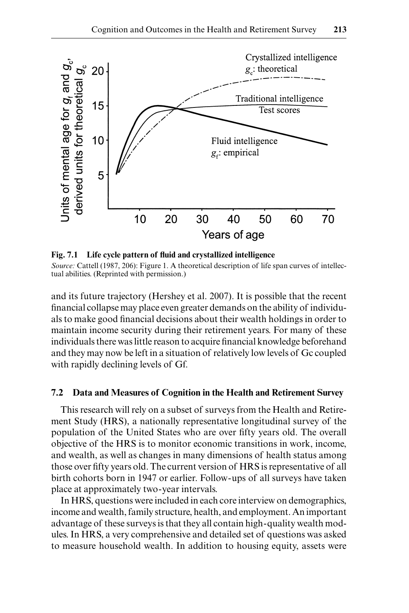

Fig. 7.1 Life cycle pattern of fluid and crystallized intelligence

*Source:* Cattell (1987, 206): Figure 1. A theoretical description of life span curves of intellectual abilities. (Reprinted with permission.)

and its future trajectory (Hershey et al. 2007). It is possible that the recent financial collapse may place even greater demands on the ability of individuals to make good financial decisions about their wealth holdings in order to maintain income security during their retirement years. For many of these individuals there was little reason to acquire financial knowledge beforehand and they may now be left in a situation of relatively low levels of Gc coupled with rapidly declining levels of Gf.

#### **7.2 Data and Measures of Cognition in the Health and Retirement Survey**

This research will rely on a subset of surveys from the Health and Retirement Study (HRS), a nationally representative longitudinal survey of the population of the United States who are over fifty years old. The overall objective of the HRS is to monitor economic transitions in work, income, and wealth, as well as changes in many dimensions of health status among those over fifty years old. The current version of HRS is representative of all birth cohorts born in 1947 or earlier. Follow- ups of all surveys have taken place at approximately two- year intervals.

In HRS, questions were included in each core interview on demographics, income and wealth, family structure, health, and employment. An important advantage of these surveys is that they all contain high- quality wealth modules. In HRS, a very comprehensive and detailed set of questions was asked to measure household wealth. In addition to housing equity, assets were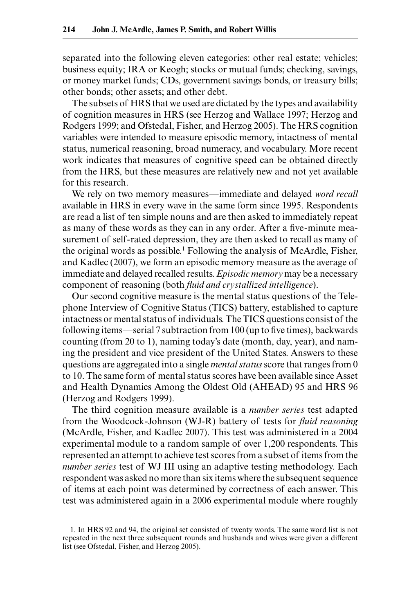separated into the following eleven categories: other real estate; vehicles; business equity; IRA or Keogh; stocks or mutual funds; checking, savings, or money market funds; CDs, government savings bonds, or treasury bills; other bonds; other assets; and other debt.

The subsets of HRS that we used are dictated by the types and availability of cognition measures in HRS (see Herzog and Wallace 1997; Herzog and Rodgers 1999; and Ofstedal, Fisher, and Herzog 2005). The HRS cognition variables were intended to measure episodic memory, intactness of mental status, numerical reasoning, broad numeracy, and vocabulary. More recent work indicates that measures of cognitive speed can be obtained directly from the HRS, but these measures are relatively new and not yet available for this research.

We rely on two memory measures—immediate and delayed *word recall* available in HRS in every wave in the same form since 1995. Respondents are read a list of ten simple nouns and are then asked to immediately repeat as many of these words as they can in any order. After a five-minute measurement of self-rated depression, they are then asked to recall as many of the original words as possible.<sup>1</sup> Following the analysis of McArdle, Fisher, and Kadlec (2007), we form an episodic memory measure as the average of immediate and delayed recalled results. *Episodic memory* may be a necessary component of reasoning (both *fluid and crystallized intelligence*).

Our second cognitive measure is the mental status questions of the Telephone Interview of Cognitive Status (TICS) battery, established to capture intactness or mental status of individuals. The TICS questions consist of the following items—serial 7 subtraction from 100 (up to five times), backwards counting (from 20 to 1), naming today's date (month, day, year), and naming the president and vice president of the United States. Answers to these questions are aggregated into a single *mental status* score that ranges from 0 to 10. The same form of mental status scores have been available since Asset and Health Dynamics Among the Oldest Old (AHEAD) 95 and HRS 96 (Herzog and Rodgers 1999).

The third cognition measure available is a *number series* test adapted from the Woodcock-Johnson (WJ-R) battery of tests for *fluid reasoning* (McArdle, Fisher, and Kadlec 2007). This test was administered in a 2004 experimental module to a random sample of over 1,200 respondents. This represented an attempt to achieve test scores from a subset of items from the *number series* test of WJ III using an adaptive testing methodology. Each respondent was asked no more than six items where the subsequent sequence of items at each point was determined by correctness of each answer. This test was administered again in a 2006 experimental module where roughly

<sup>1.</sup> In HRS 92 and 94, the original set consisted of twenty words. The same word list is not repeated in the next three subsequent rounds and husbands and wives were given a different list (see Ofstedal, Fisher, and Herzog 2005).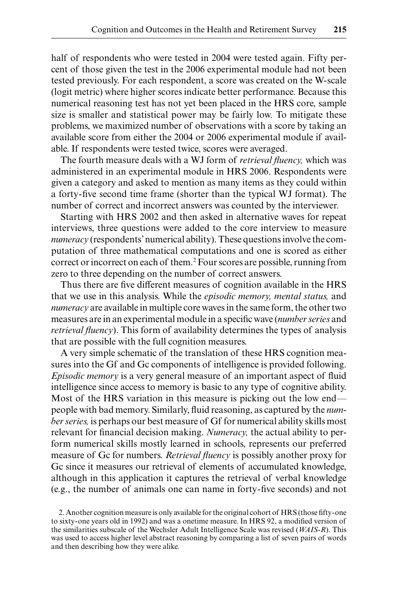half of respondents who were tested in 2004 were tested again. Fifty percent of those given the test in the 2006 experimental module had not been tested previously. For each respondent, a score was created on the W- scale (logit metric) where higher scores indicate better performance. Because this numerical reasoning test has not yet been placed in the HRS core, sample size is smaller and statistical power may be fairly low. To mitigate these problems, we maximized number of observations with a score by taking an available score from either the 2004 or 2006 experimental module if available. If respondents were tested twice, scores were averaged.

The fourth measure deals with a WJ form of *retrieval fluency*, which was administered in an experimental module in HRS 2006. Respondents were given a category and asked to mention as many items as they could within a forty-five second time frame (shorter than the typical WJ format). The number of correct and incorrect answers was counted by the interviewer.

Starting with HRS 2002 and then asked in alternative waves for repeat interviews, three questions were added to the core interview to measure *numeracy* (respondents' numerical ability). These questions involve the computation of three mathematical computations and one is scored as either correct or incorrect on each of them.2 Four scores are possible, running from zero to three depending on the number of correct answers.

Thus there are five different measures of cognition available in the HRS that we use in this analysis. While the *episodic memory, mental status,* and *numeracy* are available in multiple core waves in the same form, the other two measures are in an experimental module in a specific wave (*number series* and *retrieval fluency*). This form of availability determines the types of analysis that are possible with the full cognition measures.

A very simple schematic of the translation of these HRS cognition measures into the Gf and Gc components of intelligence is provided following. *Episodic memory* is a very general measure of an important aspect of fluid intelligence since access to memory is basic to any type of cognitive ability. Most of the HRS variation in this measure is picking out the low end people with bad memory. Similarly, fluid reasoning, as captured by the *number series,* is perhaps our best measure of Gf for numerical ability skills most relevant for financial decision making. *Numeracy*, the actual ability to perform numerical skills mostly learned in schools, represents our preferred measure of Gc for numbers. *Retrieval fluency* is possibly another proxy for Gc since it measures our retrieval of elements of accumulated knowledge, although in this application it captures the retrieval of verbal knowledge (e.g., the number of animals one can name in forty-five seconds) and not

<sup>2.</sup> Another cognition measure is only available for the original cohort of HRS (those fifty-one to sixty-one years old in 1992) and was a onetime measure. In HRS 92, a modified version of the similarities subscale of the Wechsler Adult Intelligence Scale was revised (*WAIS- R*). This was used to access higher level abstract reasoning by comparing a list of seven pairs of words and then describing how they were alike.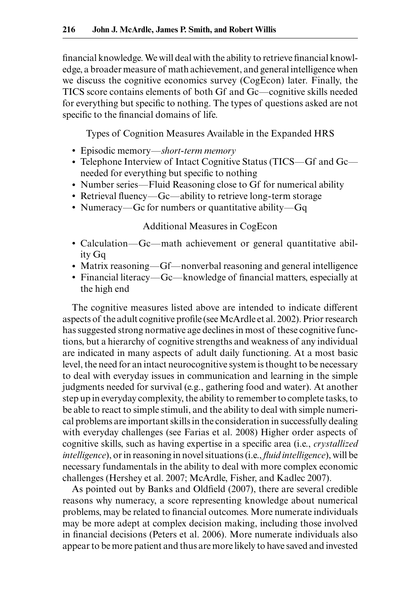financial knowledge. We will deal with the ability to retrieve financial knowledge, a broader measure of math achievement, and general intelligence when we discuss the cognitive economics survey (CogEcon) later. Finally, the TICS score contains elements of both Gf and Gc—cognitive skills needed for everything but specific to nothing. The types of questions asked are not specific to the financial domains of life.

Types of Cognition Measures Available in the Expanded HRS

- Episodic memory—*short- term memory*
- Telephone Interview of Intact Cognitive Status (TICS—Gf and Gc needed for everything but specific to nothing
- Number series—Fluid Reasoning close to Gf for numerical ability
- Retrieval fluency—Gc—ability to retrieve long-term storage
- Numeracy—Gc for numbers or quantitative ability—Gq

## Additional Measures in CogEcon

- Calculation—Gc—math achievement or general quantitative ability Gq
- Matrix reasoning—Gf—nonverbal reasoning and general intelligence
- Financial literacy—Gc—knowledge of financial matters, especially at the high end

The cognitive measures listed above are intended to indicate different aspects of the adult cognitive profile (see McArdle et al. 2002). Prior research has suggested strong normative age declines in most of these cognitive functions, but a hierarchy of cognitive strengths and weakness of any individual are indicated in many aspects of adult daily functioning. At a most basic level, the need for an intact neurocognitive system is thought to be necessary to deal with everyday issues in communication and learning in the simple judgments needed for survival (e.g., gathering food and water). At another step up in everyday complexity, the ability to remember to complete tasks, to be able to react to simple stimuli, and the ability to deal with simple numerical problems are important skills in the consideration in successfully dealing with everyday challenges (see Farias et al. 2008) Higher order aspects of cognitive skills, such as having expertise in a specific area (i.e., *crystallized intelligence*), or in reasoning in novel situations (i.e., *fluid intelligence*), will be necessary fundamentals in the ability to deal with more complex economic challenges (Hershey et al. 2007; McArdle, Fisher, and Kadlec 2007).

As pointed out by Banks and Oldfield (2007), there are several credible reasons why numeracy, a score representing knowledge about numerical problems, may be related to financial outcomes. More numerate individuals may be more adept at complex decision making, including those involved in financial decisions (Peters et al. 2006). More numerate individuals also appear to be more patient and thus are more likely to have saved and invested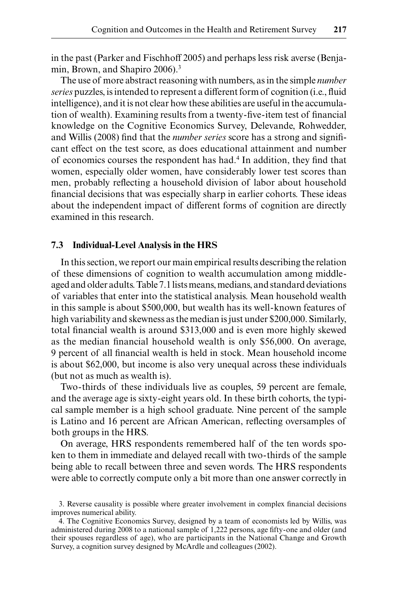in the past (Parker and Fischhoff 2005) and perhaps less risk averse (Benjamin, Brown, and Shapiro 2006).<sup>3</sup>

The use of more abstract reasoning with numbers, as in the simple *number series* puzzles, is intended to represent a different form of cognition (i.e., fluid intelligence), and it is not clear how these abilities are useful in the accumulation of wealth). Examining results from a twenty-five-item test of financial knowledge on the Cognitive Economics Survey, Delevande, Rohwedder, and Willis (2008) find that the *number series* score has a strong and significant effect on the test score, as does educational attainment and number of economics courses the respondent has had.<sup>4</sup> In addition, they find that women, especially older women, have considerably lower test scores than men, probably reflecting a household division of labor about household financial decisions that was especially sharp in earlier cohorts. These ideas about the independent impact of different forms of cognition are directly examined in this research.

## **7.3 Individual- Level Analysis in the HRS**

In this section, we report our main empirical results describing the relation of these dimensions of cognition to wealth accumulation among middle aged and older adults. Table 7.1 lists means, medians, and standard deviations of variables that enter into the statistical analysis. Mean household wealth in this sample is about \$500,000, but wealth has its well- known features of high variability and skewness as the median is just under \$200,000. Similarly, total financial wealth is around \$313,000 and is even more highly skewed as the median financial household wealth is only \$56,000. On average, 9 percent of all financial wealth is held in stock. Mean household income is about \$62,000, but income is also very unequal across these individuals (but not as much as wealth is).

Two- thirds of these individuals live as couples, 59 percent are female, and the average age is sixty- eight years old. In these birth cohorts, the typical sample member is a high school graduate. Nine percent of the sample is Latino and 16 percent are African American, reflecting oversamples of both groups in the HRS.

On average, HRS respondents remembered half of the ten words spoken to them in immediate and delayed recall with two- thirds of the sample being able to recall between three and seven words. The HRS respondents were able to correctly compute only a bit more than one answer correctly in

<sup>3.</sup> Reverse causality is possible where greater involvement in complex financial decisions improves numerical ability.

<sup>4.</sup> The Cognitive Economics Survey, designed by a team of economists led by Willis, was administered during 2008 to a national sample of 1,222 persons, age fifty-one and older (and their spouses regardless of age), who are participants in the National Change and Growth Survey, a cognition survey designed by McArdle and colleagues (2002).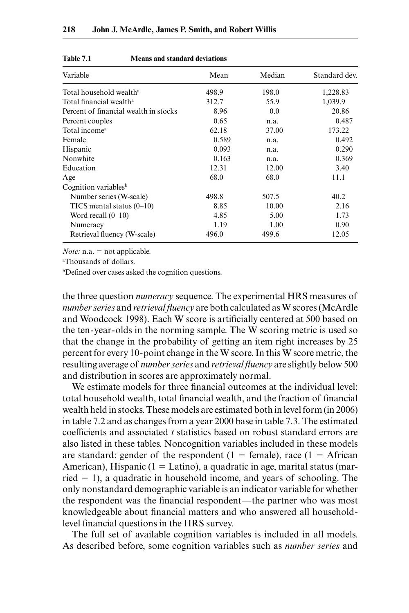| Variable                              | Mean  | Median | Standard dev. |
|---------------------------------------|-------|--------|---------------|
| Total household wealth <sup>a</sup>   | 498.9 | 198.0  | 1,228.83      |
| Total financial wealth <sup>a</sup>   | 312.7 | 55.9   | 1,039.9       |
| Percent of financial wealth in stocks | 8.96  | 0.0    | 20.86         |
| Percent couples                       | 0.65  | n.a.   | 0.487         |
| Total income <sup>a</sup>             | 62.18 | 37.00  | 173.22        |
| Female                                | 0.589 | n.a.   | 0.492         |
| Hispanic                              | 0.093 | n.a.   | 0.290         |
| Nonwhite                              | 0.163 | n.a.   | 0.369         |
| Education                             | 12.31 | 12.00  | 3.40          |
| Age                                   | 68.0  | 68.0   | 11.1          |
| Cognition variables <sup>b</sup>      |       |        |               |
| Number series (W-scale)               | 498.8 | 507.5  | 40.2          |
| TICS mental status $(0-10)$           | 8.85  | 10.00  | 2.16          |
| Word recall $(0-10)$                  | 4.85  | 5.00   | 1.73          |
| Numeracy                              | 1.19  | 1.00   | 0.90          |
| Retrieval fluency (W-scale)           | 496.0 | 499.6  | 12.05         |

**Table 7.1 Means and standard deviations**

 $Note: n.a. = not applicable.$ 

a Thousands of dollars.

bDefined over cases asked the cognition questions.

the three question *numeracy* sequence. The experimental HRS measures of *number series* and *retrieval fluency* are both calculated as W scores (McArdle and Woodcock 1998). Each W score is artificially centered at 500 based on the ten- year- olds in the norming sample. The W scoring metric is used so that the change in the probability of getting an item right increases by 25 percent for every 10- point change in the W score. In this W score metric, the resulting average of *number series* and *retrieval fluency* are slightly below 500 and distribution in scores are approximately normal.

We estimate models for three financial outcomes at the individual level: total household wealth, total financial wealth, and the fraction of financial wealth held in stocks. These models are estimated both in level form (in 2006) in table 7.2 and as changes from a year 2000 base in table 7.3. The estimated coefficients and associated *t* statistics based on robust standard errors are also listed in these tables. Noncognition variables included in these models are standard: gender of the respondent  $(1 = \text{female})$ , race  $(1 = \text{African})$ American), Hispanic (1 = Latino), a quadratic in age, marital status (mar $ried = 1$ ), a quadratic in household income, and years of schooling. The only nonstandard demographic variable is an indicator variable for whether the respondent was the financial respondent—the partner who was most knowledgeable about financial matters and who answered all householdlevel financial questions in the HRS survey.

The full set of available cognition variables is included in all models. As described before, some cognition variables such as *number series* and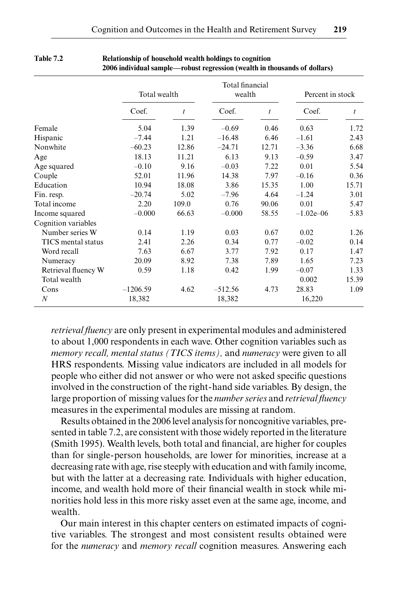|                     | Total wealth |                | Total financial<br>wealth |                | Percent in stock |                |
|---------------------|--------------|----------------|---------------------------|----------------|------------------|----------------|
|                     | Coef.        | $\mathfrak{t}$ | Coef.                     | $\mathfrak{t}$ | Coef.            | $\mathfrak{t}$ |
| Female              | 5.04         | 1.39           | $-0.69$                   | 0.46           | 0.63             | 1.72           |
| Hispanic            | $-7.44$      | 1.21           | $-16.48$                  | 6.46           | $-1.61$          | 2.43           |
| Nonwhite            | $-60.23$     | 12.86          | $-24.71$                  | 12.71          | $-3.36$          | 6.68           |
| Age                 | 18.13        | 11.21          | 6.13                      | 9.13           | $-0.59$          | 3.47           |
| Age squared         | $-0.10$      | 9.16           | $-0.03$                   | 7.22           | 0.01             | 5.54           |
| Couple              | 52.01        | 11.96          | 14.38                     | 7.97           | $-0.16$          | 0.36           |
| Education           | 10.94        | 18.08          | 3.86                      | 15.35          | 1.00             | 15.71          |
| Fin. resp.          | $-20.74$     | 5.02           | $-7.96$                   | 4.64           | $-1.24$          | 3.01           |
| Total income        | 2.20         | 109.0          | 0.76                      | 90.06          | 0.01             | 5.47           |
| Income squared      | $-0.000$     | 66.63          | $-0.000$                  | 58.55          | $-1.02e - 06$    | 5.83           |
| Cognition variables |              |                |                           |                |                  |                |
| Number series W     | 0.14         | 1.19           | 0.03                      | 0.67           | 0.02             | 1.26           |
| TICS mental status  | 2.41         | 2.26           | 0.34                      | 0.77           | $-0.02$          | 0.14           |
| Word recall         | 7.63         | 6.67           | 3.77                      | 7.92           | 0.17             | 1.47           |
| Numeracy            | 20.09        | 8.92           | 7.38                      | 7.89           | 1.65             | 7.23           |
| Retrieval fluency W | 0.59         | 1.18           | 0.42                      | 1.99           | $-0.07$          | 1.33           |
| Total wealth        |              |                |                           |                | 0.002            | 15.39          |
| Cons                | $-1206.59$   | 4.62           | $-512.56$                 | 4.73           | 28.83            | 1.09           |
| $\boldsymbol{N}$    | 18,382       |                | 18,382                    |                | 16,220           |                |

#### **Table 7.2 Relationship of household wealth holdings to cognition 2006 individual sample—robust regression (wealth in thousands of dollars)**

*retrieval fluency* are only present in experimental modules and administered to about 1,000 respondents in each wave. Other cognition variables such as *memory recall, mental status (TICS items),* and *numeracy* were given to all HRS respondents. Missing value indicators are included in all models for people who either did not answer or who were not asked specific questions involved in the construction of the right- hand side variables. By design, the large proportion of missing values for the *number series* and *retrieval fluency* measures in the experimental modules are missing at random.

Results obtained in the 2006 level analysis for noncognitive variables, presented in table 7.2, are consistent with those widely reported in the literature (Smith 1995). Wealth levels, both total and financial, are higher for couples than for single- person households, are lower for minorities, increase at a decreasing rate with age, rise steeply with education and with family income, but with the latter at a decreasing rate. Individuals with higher education, income, and wealth hold more of their financial wealth in stock while minorities hold less in this more risky asset even at the same age, income, and wealth.

Our main interest in this chapter centers on estimated impacts of cognitive variables. The strongest and most consistent results obtained were for the *numeracy* and *memory recall* cognition measures. Answering each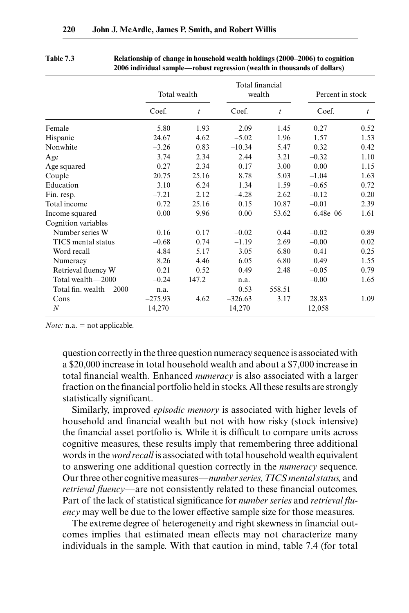|                         | Total wealth |                |           | Total financial<br>wealth |               | Percent in stock |  |
|-------------------------|--------------|----------------|-----------|---------------------------|---------------|------------------|--|
|                         | Coef.        | $\mathfrak{t}$ | Coef.     | $\mathfrak{t}$            | Coef.         | t                |  |
| Female                  | $-5.80$      | 1.93           | $-2.09$   | 1.45                      | 0.27          | 0.52             |  |
| Hispanic                | 24.67        | 4.62           | $-5.02$   | 1.96                      | 1.57          | 1.53             |  |
| Nonwhite                | $-3.26$      | 0.83           | $-10.34$  | 5.47                      | 0.32          | 0.42             |  |
| Age                     | 3.74         | 2.34           | 2.44      | 3.21                      | $-0.32$       | 1.10             |  |
| Age squared             | $-0.27$      | 2.34           | $-0.17$   | 3.00                      | 0.00          | 1.15             |  |
| Couple                  | 20.75        | 25.16          | 8.78      | 5.03                      | $-1.04$       | 1.63             |  |
| Education               | 3.10         | 6.24           | 1.34      | 1.59                      | $-0.65$       | 0.72             |  |
| Fin. resp.              | $-7.21$      | 2.12           | $-4.28$   | 2.62                      | $-0.12$       | 0.20             |  |
| Total income            | 0.72         | 25.16          | 0.15      | 10.87                     | $-0.01$       | 2.39             |  |
| Income squared          | $-0.00$      | 9.96           | 0.00      | 53.62                     | $-6.48e - 06$ | 1.61             |  |
| Cognition variables     |              |                |           |                           |               |                  |  |
| Number series W         | 0.16         | 0.17           | $-0.02$   | 0.44                      | $-0.02$       | 0.89             |  |
| TICS mental status      | $-0.68$      | 0.74           | $-1.19$   | 2.69                      | $-0.00$       | 0.02             |  |
| Word recall             | 4.84         | 5.17           | 3.05      | 6.80                      | $-0.41$       | 0.25             |  |
| Numeracy                | 8.26         | 4.46           | 6.05      | 6.80                      | 0.49          | 1.55             |  |
| Retrieval fluency W     | 0.21         | 0.52           | 0.49      | 2.48                      | $-0.05$       | 0.79             |  |
| Total wealth-2000       | $-0.24$      | 147.2          | n.a.      |                           | $-0.00$       | 1.65             |  |
| Total fin. wealth -2000 | n.a.         |                | $-0.53$   | 558.51                    |               |                  |  |
| Cons                    | $-275.93$    | 4.62           | $-326.63$ | 3.17                      | 28.83         | 1.09             |  |
| $\boldsymbol{N}$        | 14,270       |                | 14,270    |                           | 12,058        |                  |  |

| <b>Table 7.3</b> | Relationship of change in household wealth holdings (2000–2006) to cognition |
|------------------|------------------------------------------------------------------------------|
|                  | 2006 individual sample—robust regression (wealth in thousands of dollars)    |

 $Note: n.a. = not applicable.$ 

question correctly in the three question numeracy sequence is associated with a \$20,000 increase in total household wealth and about a \$7,000 increase in total financial wealth. Enhanced *numeracy* is also associated with a larger fraction on the financial portfolio held in stocks. All these results are strongly statistically significant.

Similarly, improved *episodic memory* is associated with higher levels of household and financial wealth but not with how risky (stock intensive) the financial asset portfolio is. While it is difficult to compare units across cognitive measures, these results imply that remembering three additional words in the *word recall* is associated with total household wealth equivalent to answering one additional question correctly in the *numeracy* sequence. Our three other cognitive measures—*number series, TICS mental status,* and *retrieval fluency*—are not consistently related to these financial outcomes. Part of the lack of statistical significance for *number series* and *retrieval fluency* may well be due to the lower effective sample size for those measures.

The extreme degree of heterogeneity and right skewness in financial outcomes implies that estimated mean effects may not characterize many individuals in the sample. With that caution in mind, table 7.4 (for total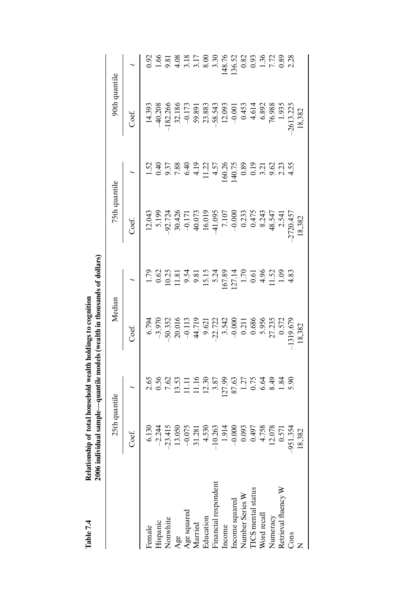|                                                      |                                                                                                                                                                                                                                                                                                                      |                                                                                                                                                                                                                                                                                                           | ndividual sample—quantile models (wealth in thousands of dollars)                                                                                                                                                                                                                                          |                                                                                                                                                                                                                                                                                                                                                      |                                                                                                                                                                                     |                                           |                                                                                                                                                                                                                                                                                                                                                                                                                           |                                                                                                                                                                                                                                                                                                               |
|------------------------------------------------------|----------------------------------------------------------------------------------------------------------------------------------------------------------------------------------------------------------------------------------------------------------------------------------------------------------------------|-----------------------------------------------------------------------------------------------------------------------------------------------------------------------------------------------------------------------------------------------------------------------------------------------------------|------------------------------------------------------------------------------------------------------------------------------------------------------------------------------------------------------------------------------------------------------------------------------------------------------------|------------------------------------------------------------------------------------------------------------------------------------------------------------------------------------------------------------------------------------------------------------------------------------------------------------------------------------------------------|-------------------------------------------------------------------------------------------------------------------------------------------------------------------------------------|-------------------------------------------|---------------------------------------------------------------------------------------------------------------------------------------------------------------------------------------------------------------------------------------------------------------------------------------------------------------------------------------------------------------------------------------------------------------------------|---------------------------------------------------------------------------------------------------------------------------------------------------------------------------------------------------------------------------------------------------------------------------------------------------------------|
|                                                      | 25th quantile                                                                                                                                                                                                                                                                                                        |                                                                                                                                                                                                                                                                                                           | Median                                                                                                                                                                                                                                                                                                     |                                                                                                                                                                                                                                                                                                                                                      | 75th quantile                                                                                                                                                                       |                                           | 90th quantile                                                                                                                                                                                                                                                                                                                                                                                                             |                                                                                                                                                                                                                                                                                                               |
|                                                      | Coef                                                                                                                                                                                                                                                                                                                 |                                                                                                                                                                                                                                                                                                           | $\rm{C}$ ef                                                                                                                                                                                                                                                                                                |                                                                                                                                                                                                                                                                                                                                                      | Coef                                                                                                                                                                                |                                           | Coef.                                                                                                                                                                                                                                                                                                                                                                                                                     |                                                                                                                                                                                                                                                                                                               |
| Female                                               |                                                                                                                                                                                                                                                                                                                      |                                                                                                                                                                                                                                                                                                           |                                                                                                                                                                                                                                                                                                            |                                                                                                                                                                                                                                                                                                                                                      |                                                                                                                                                                                     |                                           |                                                                                                                                                                                                                                                                                                                                                                                                                           |                                                                                                                                                                                                                                                                                                               |
|                                                      |                                                                                                                                                                                                                                                                                                                      | 2.65                                                                                                                                                                                                                                                                                                      |                                                                                                                                                                                                                                                                                                            | $\frac{83}{100}$<br>$\frac{23}{100}$<br>$\frac{23}{100}$<br>$\frac{23}{100}$<br>$\frac{23}{100}$<br>$\frac{23}{100}$<br>$\frac{23}{100}$<br>$\frac{23}{100}$<br>$\frac{23}{100}$<br>$\frac{23}{100}$<br>$\frac{23}{100}$<br>$\frac{23}{100}$<br>$\frac{23}{100}$<br>$\frac{23}{100}$<br>$\frac{23}{100}$<br>$\frac{23}{100}$<br>$\frac{23}{100}$<br> |                                                                                                                                                                                     |                                           | $\begin{array}{r} 14.393 \\ \begin{array}{r} -40.206 \\ -182.266 \\ \begin{array}{r} 39.18 \\ -132.266 \\ \end{array} \end{array} \end{array} \begin{array}{r} 64.39 \\ \begin{array}{r} 39.183 \\ \begin{array}{r} 39.183 \\ -138.383 \\ \end{array} \end{array} \end{array} \begin{array}{r} 17.38 \\ \begin{array}{r} 39.183 \\ -138.383 \\ \end{array} \end{array} \begin{array}{r} 17.38 \\ \begin{array}{r} -10.38$ | $\begin{array}{l} 0.96 \\ 0.76 \\ 0.87 \\ 0.98 \\ 0.99 \\ 0.99 \\ 0.90 \\ 0.90 \\ 0.90 \\ 0.90 \\ 0.90 \\ 0.90 \\ 0.90 \\ 0.90 \\ 0.91 \\ 0.93 \\ 0.93 \\ 0.93 \\ 0.93 \\ 0.94 \\ 0.95 \\ 0.97 \\ 0.98 \\ 0.23 \\ 0.23 \\ 0.23 \\ 0.23 \\ 0.23 \\ 0.23 \\ 0.23 \\ 0.23 \\ 0.23 \\ 0.23 \\ 0.23 \\ 0.23 \\ 0.$ |
| Hispanic<br>Nonwhite                                 |                                                                                                                                                                                                                                                                                                                      | 7.62                                                                                                                                                                                                                                                                                                      |                                                                                                                                                                                                                                                                                                            |                                                                                                                                                                                                                                                                                                                                                      |                                                                                                                                                                                     |                                           |                                                                                                                                                                                                                                                                                                                                                                                                                           |                                                                                                                                                                                                                                                                                                               |
|                                                      |                                                                                                                                                                                                                                                                                                                      | 13.53                                                                                                                                                                                                                                                                                                     |                                                                                                                                                                                                                                                                                                            |                                                                                                                                                                                                                                                                                                                                                      |                                                                                                                                                                                     | 9.37<br>7.88<br>6.40                      |                                                                                                                                                                                                                                                                                                                                                                                                                           |                                                                                                                                                                                                                                                                                                               |
| Age<br>Age squared<br>Married<br>Education           |                                                                                                                                                                                                                                                                                                                      | 11.1                                                                                                                                                                                                                                                                                                      |                                                                                                                                                                                                                                                                                                            |                                                                                                                                                                                                                                                                                                                                                      |                                                                                                                                                                                     |                                           |                                                                                                                                                                                                                                                                                                                                                                                                                           |                                                                                                                                                                                                                                                                                                               |
|                                                      |                                                                                                                                                                                                                                                                                                                      |                                                                                                                                                                                                                                                                                                           |                                                                                                                                                                                                                                                                                                            |                                                                                                                                                                                                                                                                                                                                                      |                                                                                                                                                                                     |                                           |                                                                                                                                                                                                                                                                                                                                                                                                                           |                                                                                                                                                                                                                                                                                                               |
|                                                      |                                                                                                                                                                                                                                                                                                                      |                                                                                                                                                                                                                                                                                                           |                                                                                                                                                                                                                                                                                                            |                                                                                                                                                                                                                                                                                                                                                      |                                                                                                                                                                                     |                                           |                                                                                                                                                                                                                                                                                                                                                                                                                           |                                                                                                                                                                                                                                                                                                               |
| Financial respondent                                 |                                                                                                                                                                                                                                                                                                                      |                                                                                                                                                                                                                                                                                                           |                                                                                                                                                                                                                                                                                                            |                                                                                                                                                                                                                                                                                                                                                      |                                                                                                                                                                                     | $11.22$<br>$4.57$<br>$160.26$<br>$140.75$ |                                                                                                                                                                                                                                                                                                                                                                                                                           |                                                                                                                                                                                                                                                                                                               |
| Income                                               |                                                                                                                                                                                                                                                                                                                      |                                                                                                                                                                                                                                                                                                           |                                                                                                                                                                                                                                                                                                            |                                                                                                                                                                                                                                                                                                                                                      |                                                                                                                                                                                     |                                           |                                                                                                                                                                                                                                                                                                                                                                                                                           |                                                                                                                                                                                                                                                                                                               |
| Income squared                                       |                                                                                                                                                                                                                                                                                                                      |                                                                                                                                                                                                                                                                                                           |                                                                                                                                                                                                                                                                                                            |                                                                                                                                                                                                                                                                                                                                                      |                                                                                                                                                                                     |                                           |                                                                                                                                                                                                                                                                                                                                                                                                                           |                                                                                                                                                                                                                                                                                                               |
|                                                      |                                                                                                                                                                                                                                                                                                                      | $\begin{array}{l} 11.16 \\ 12.30 \\ 13.87 \\ 15.87 \\ 12.99 \\ 15.63 \\ 15.77 \\ 15.78 \\ 16.79 \\ 17.79 \\ 18.79 \\ 19.71 \\ 19.83 \\ 19.0 \\ 19.0 \\ 19.0 \\ 19.0 \\ 19.0 \\ 19.0 \\ 19.0 \\ 19.0 \\ 19.0 \\ 19.0 \\ 19.0 \\ 19.0 \\ 19.0 \\ 19.0 \\ 19.0 \\ 19.0 \\ 19.0 \\ 19.0 \\ 19.0 \\ 19.0 \\ 1$ |                                                                                                                                                                                                                                                                                                            |                                                                                                                                                                                                                                                                                                                                                      |                                                                                                                                                                                     | 0.89                                      |                                                                                                                                                                                                                                                                                                                                                                                                                           |                                                                                                                                                                                                                                                                                                               |
|                                                      |                                                                                                                                                                                                                                                                                                                      |                                                                                                                                                                                                                                                                                                           |                                                                                                                                                                                                                                                                                                            |                                                                                                                                                                                                                                                                                                                                                      |                                                                                                                                                                                     |                                           |                                                                                                                                                                                                                                                                                                                                                                                                                           |                                                                                                                                                                                                                                                                                                               |
| Number Series W<br>TICS mental status<br>Word recall |                                                                                                                                                                                                                                                                                                                      |                                                                                                                                                                                                                                                                                                           |                                                                                                                                                                                                                                                                                                            |                                                                                                                                                                                                                                                                                                                                                      |                                                                                                                                                                                     |                                           |                                                                                                                                                                                                                                                                                                                                                                                                                           |                                                                                                                                                                                                                                                                                                               |
| Numeracy                                             |                                                                                                                                                                                                                                                                                                                      |                                                                                                                                                                                                                                                                                                           |                                                                                                                                                                                                                                                                                                            |                                                                                                                                                                                                                                                                                                                                                      |                                                                                                                                                                                     |                                           |                                                                                                                                                                                                                                                                                                                                                                                                                           |                                                                                                                                                                                                                                                                                                               |
| Retrieval fluency W                                  |                                                                                                                                                                                                                                                                                                                      |                                                                                                                                                                                                                                                                                                           |                                                                                                                                                                                                                                                                                                            |                                                                                                                                                                                                                                                                                                                                                      |                                                                                                                                                                                     |                                           |                                                                                                                                                                                                                                                                                                                                                                                                                           |                                                                                                                                                                                                                                                                                                               |
| Cons                                                 |                                                                                                                                                                                                                                                                                                                      |                                                                                                                                                                                                                                                                                                           |                                                                                                                                                                                                                                                                                                            |                                                                                                                                                                                                                                                                                                                                                      |                                                                                                                                                                                     |                                           |                                                                                                                                                                                                                                                                                                                                                                                                                           |                                                                                                                                                                                                                                                                                                               |
|                                                      | $\begin{array}{l} 6.130 \\ 6.1415 \\ -12.241 \\ -10.050 \\ -10.050 \\ -10.263 \\ -10.263 \\ -10.263 \\ -10.050 \\ -10.050 \\ -10.050 \\ -10.050 \\ -10.050 \\ -10.050 \\ -10.050 \\ -10.050 \\ -10.050 \\ -10.050 \\ -10.050 \\ -10.050 \\ -10.050 \\ -10.050 \\ -10.050 \\ -10.050 \\ -10.050 \\ -10.050 \\ -10.05$ |                                                                                                                                                                                                                                                                                                           | $\begin{array}{l} 6.793\\ 6.933\\ -9.019\\ -9.013\\ -1.19\\ -1.19\\ -1.19\\ -1.19\\ -2.17\\ -2.17\\ -1.19\\ -2.17\\ -2.17\\ -2.17\\ -2.17\\ -2.19\\ -2.19\\ -2.19\\ -2.19\\ -2.19\\ -2.19\\ -2.19\\ -2.19\\ -2.19\\ -2.19\\ -2.19\\ -2.19\\ -2.19\\ -2.19\\ -2.19\\ -2.19\\ -2.19\\ -2.19\\ -2.19\\ -2.19$ |                                                                                                                                                                                                                                                                                                                                                      | $[2,194]$ $[3,195]$ $[3,195]$ $[3,195]$ $[3,195]$ $[3,195]$ $[3,195]$ $[3,195]$ $[3,195]$ $[3,195]$ $[3,195]$ $[3,195]$ $[3,195]$ $[3,195]$ $[3,195]$ $[3,195]$ $[3,195]$ $[3,195]$ |                                           | -2613.225<br>18,382                                                                                                                                                                                                                                                                                                                                                                                                       |                                                                                                                                                                                                                                                                                                               |

.<br>سالمانی می J, Relationship of total household wealth holdings to cognition **Table 7.4 Relationship of total household wealth holdings to cognition** 

Table  $7.4\,$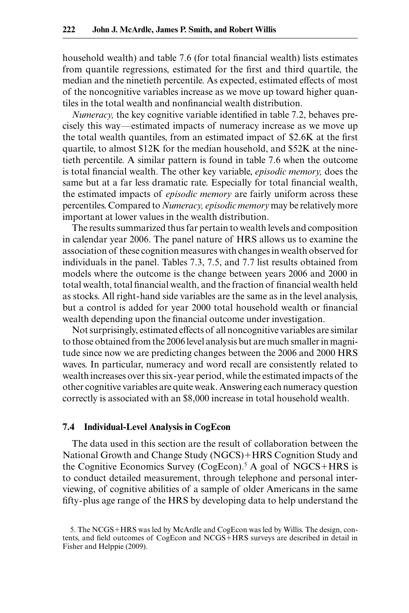household wealth) and table 7.6 (for total financial wealth) lists estimates from quantile regressions, estimated for the first and third quartile, the median and the ninetieth percentile. As expected, estimated effects of most of the noncognitive variables increase as we move up toward higher quantiles in the total wealth and nonfinancial wealth distribution.

*Numeracy*, the key cognitive variable identified in table 7.2, behaves precisely this way—estimated impacts of numeracy increase as we move up the total wealth quantiles, from an estimated impact of \$2.6K at the first quartile, to almost \$12K for the median household, and \$52K at the ninetieth percentile. A similar pattern is found in table 7.6 when the outcome is total financial wealth. The other key variable, *episodic memory*, does the same but at a far less dramatic rate. Especially for total financial wealth, the estimated impacts of *episodic memory* are fairly uniform across these percentiles. Compared to *Numeracy, episodic memory* may be relatively more important at lower values in the wealth distribution.

The results summarized thus far pertain to wealth levels and composition in calendar year 2006. The panel nature of HRS allows us to examine the association of these cognition measures with changes in wealth observed for individuals in the panel. Tables 7.3, 7.5, and 7.7 list results obtained from models where the outcome is the change between years 2006 and 2000 in total wealth, total financial wealth, and the fraction of financial wealth held as stocks. All right- hand side variables are the same as in the level analysis, but a control is added for year 2000 total household wealth or financial wealth depending upon the financial outcome under investigation.

Not surprisingly, estimated effects of all noncognitive variables are similar to those obtained from the 2006 level analysis but are much smaller in magnitude since now we are predicting changes between the 2006 and 2000 HRS waves. In particular, numeracy and word recall are consistently related to wealth increases over this six- year period, while the estimated impacts of the other cognitive variables are quite weak. Answering each numeracy question correctly is associated with an \$8,000 increase in total household wealth.

## **7.4 Individual- Level Analysis in CogEcon**

The data used in this section are the result of collaboration between the National Growth and Change Study (NGCS)+HRS Cognition Study and the Cognitive Economics Survey (CogEcon).<sup>5</sup> A goal of NGCS+HRS is to conduct detailed measurement, through telephone and personal interviewing, of cognitive abilities of a sample of older Americans in the same fifty-plus age range of the HRS by developing data to help understand the

<sup>5.</sup> The NCGS+HRS was led by McArdle and CogEcon was led by Willis. The design, contents, and field outcomes of CogEcon and NCGS+HRS surveys are described in detail in Fisher and Helppie (2009).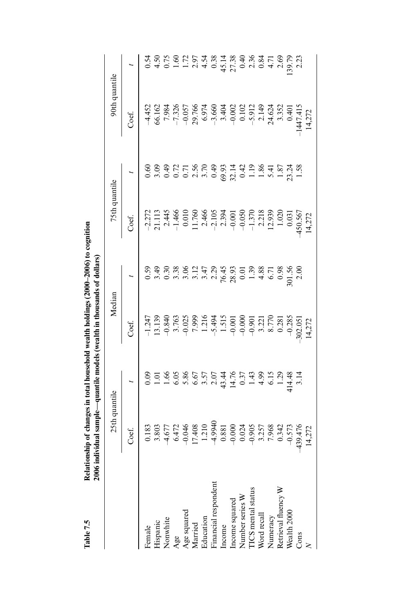| l | ہ<br>ب<br>j<br>$\ddot{ }$ |
|---|---------------------------|
|   |                           |

|                                                                        | Coet                                                                                                                                                                                                                                                                                                          |                                                                                                                                                                                                                                                                                               | Coef | Coef.                                                                                                                                   |                                   |
|------------------------------------------------------------------------|---------------------------------------------------------------------------------------------------------------------------------------------------------------------------------------------------------------------------------------------------------------------------------------------------------------|-----------------------------------------------------------------------------------------------------------------------------------------------------------------------------------------------------------------------------------------------------------------------------------------------|------|-----------------------------------------------------------------------------------------------------------------------------------------|-----------------------------------|
| Female                                                                 |                                                                                                                                                                                                                                                                                                               |                                                                                                                                                                                                                                                                                               |      |                                                                                                                                         |                                   |
|                                                                        | $\begin{array}{l} 0.833 \\ 0.835 \\ 0.935 \\ 0.95 \\ 0.97 \\ 0.97 \\ 0.97 \\ 0.97 \\ 0.97 \\ 0.98 \\ 0.97 \\ 0.99 \\ 0.99 \\ 0.99 \\ 0.99 \\ 0.90 \\ 0.90 \\ 0.90 \\ 0.90 \\ 0.90 \\ 0.90 \\ 0.90 \\ 0.90 \\ 0.90 \\ 0.90 \\ 0.90 \\ 0.91 \\ 0.91 \\ 0.91 \\ 0.91 \\ 0.91 \\ 0.91 \\ 0.91 \\ 0.91 \\ 0.91 \\$ | $\begin{array}{l} 747 \\ 11.139 \\ 13.139 \\ 14.139 \\ 15.139 \\ 16.20 \\ 17.139 \\ 18.139 \\ 19.139 \\ 13.139 \\ 15.139 \\ 16.139 \\ 17.139 \\ 18.131 \\ 19.131 \\ 19.131 \\ 10.131 \\ 13.131 \\ 14.131 \\ 15.131 \\ 16.131 \\ 17.131 \\ 18.131 \\ 19.131 \\ 19.131 \\ 14.271 \\ 15.131 \\ $ |      | $4.452\n4.6162\n7.8858\n7.9878\n8.9768\n9.9768\n1.9978\n1.9978\n1.9978\n1.9978\n1.9978\n1.9978\n1.9972\n1.9972\n1.9972\n1.9972\n1.9972$ | 040110402120104021202120221202212 |
| Hispanic<br>Nonwhite                                                   |                                                                                                                                                                                                                                                                                                               |                                                                                                                                                                                                                                                                                               |      |                                                                                                                                         |                                   |
|                                                                        |                                                                                                                                                                                                                                                                                                               |                                                                                                                                                                                                                                                                                               |      |                                                                                                                                         |                                   |
| Age<br>Age squared<br>Married                                          |                                                                                                                                                                                                                                                                                                               |                                                                                                                                                                                                                                                                                               |      |                                                                                                                                         |                                   |
|                                                                        |                                                                                                                                                                                                                                                                                                               |                                                                                                                                                                                                                                                                                               |      |                                                                                                                                         |                                   |
|                                                                        |                                                                                                                                                                                                                                                                                                               |                                                                                                                                                                                                                                                                                               |      |                                                                                                                                         |                                   |
| Education<br>Financial respondent                                      |                                                                                                                                                                                                                                                                                                               |                                                                                                                                                                                                                                                                                               |      |                                                                                                                                         |                                   |
| Income                                                                 |                                                                                                                                                                                                                                                                                                               |                                                                                                                                                                                                                                                                                               |      |                                                                                                                                         |                                   |
|                                                                        |                                                                                                                                                                                                                                                                                                               |                                                                                                                                                                                                                                                                                               |      |                                                                                                                                         |                                   |
|                                                                        |                                                                                                                                                                                                                                                                                                               |                                                                                                                                                                                                                                                                                               |      |                                                                                                                                         |                                   |
| Income squared<br>Number series W<br>TICS mental status<br>Word recall |                                                                                                                                                                                                                                                                                                               |                                                                                                                                                                                                                                                                                               |      |                                                                                                                                         |                                   |
|                                                                        |                                                                                                                                                                                                                                                                                                               |                                                                                                                                                                                                                                                                                               |      |                                                                                                                                         |                                   |
| Numeracy                                                               |                                                                                                                                                                                                                                                                                                               |                                                                                                                                                                                                                                                                                               |      |                                                                                                                                         |                                   |
| Retrieval fluency W                                                    |                                                                                                                                                                                                                                                                                                               |                                                                                                                                                                                                                                                                                               |      |                                                                                                                                         |                                   |
| Nealth 2000                                                            |                                                                                                                                                                                                                                                                                                               |                                                                                                                                                                                                                                                                                               |      |                                                                                                                                         |                                   |
| Cons                                                                   |                                                                                                                                                                                                                                                                                                               |                                                                                                                                                                                                                                                                                               |      |                                                                                                                                         |                                   |
|                                                                        |                                                                                                                                                                                                                                                                                                               |                                                                                                                                                                                                                                                                                               |      |                                                                                                                                         |                                   |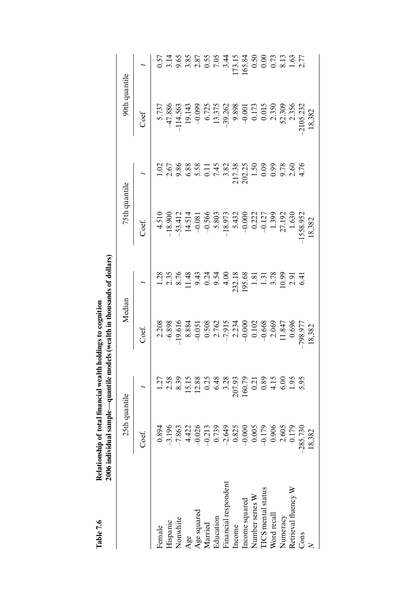| Table 7.6                                                              | 2006 individual sample—quantile models (wealth in thousands of dollars)<br>Relationship of total financial wealth holdings to cognition                                                                                                                                                       |                                                       |                                                                                       |                                                  |                                                                                                                           |                            |                                                       |                                                                                                                     |
|------------------------------------------------------------------------|-----------------------------------------------------------------------------------------------------------------------------------------------------------------------------------------------------------------------------------------------------------------------------------------------|-------------------------------------------------------|---------------------------------------------------------------------------------------|--------------------------------------------------|---------------------------------------------------------------------------------------------------------------------------|----------------------------|-------------------------------------------------------|---------------------------------------------------------------------------------------------------------------------|
|                                                                        | 25th quantile                                                                                                                                                                                                                                                                                 |                                                       | Median                                                                                |                                                  | 75th quantile                                                                                                             |                            | 90th quantile                                         |                                                                                                                     |
|                                                                        | Coef.                                                                                                                                                                                                                                                                                         |                                                       | Coef                                                                                  |                                                  | රි                                                                                                                        |                            | Coef                                                  |                                                                                                                     |
| Female                                                                 |                                                                                                                                                                                                                                                                                               |                                                       |                                                                                       |                                                  | 4.510                                                                                                                     |                            |                                                       | 0.57                                                                                                                |
|                                                                        | $\begin{array}{l} 3.895 \\ 3.1863 \\ 4.4204 \\ 6.7863 \\ 7.8963 \\ 7.8963 \\ 8.212 \\ 7.8963 \\ 7.8963 \\ 7.8963 \\ 7.8963 \\ 8.815 \\ 8.8260 \\ 7.8960 \\ 7.8960 \\ 7.8960 \\ 7.8960 \\ 7.8960 \\ 7.8960 \\ 7.8960 \\ 7.8960 \\ 7.8960 \\ 7.8960 \\ 7.8960 \\ 7.8960 \\ 7.8960 \\ 7.8960 \\$ | $\frac{27}{2.38}$                                     | $2.208$<br>-6.898                                                                     |                                                  | $-18.900$                                                                                                                 |                            | 5.737<br>47.886                                       |                                                                                                                     |
| Hispanic<br>Nonwhite                                                   |                                                                                                                                                                                                                                                                                               |                                                       | 19.616                                                                                | 8.7 <sub>6</sub>                                 | $-53.412$                                                                                                                 | 9.86                       |                                                       | $\begin{array}{c}\n 14 \\  368 \\  658 \\  756 \\  885 \\  756 \\  968 \\  756 \\  964 \\  15 \\  19\n \end{array}$ |
|                                                                        |                                                                                                                                                                                                                                                                                               |                                                       | 8.884                                                                                 | 1.48                                             |                                                                                                                           | 6.88                       | 114.563<br>19.143                                     |                                                                                                                     |
| Age<br>Age squared<br>Married<br>Education                             |                                                                                                                                                                                                                                                                                               | $15.188$<br>$12.88$<br>$0.48$<br>$0.48$<br>$0.38$     | $-0.05$                                                                               | 9.43                                             | $14.514$<br>$-0.081$<br>$-0.566$                                                                                          | 5.58                       | $-0.099$                                              |                                                                                                                     |
|                                                                        |                                                                                                                                                                                                                                                                                               |                                                       |                                                                                       |                                                  |                                                                                                                           | $\overline{0}$             | 6.725                                                 |                                                                                                                     |
|                                                                        |                                                                                                                                                                                                                                                                                               |                                                       |                                                                                       | $0.24$<br>9.54                                   | 5.803                                                                                                                     | 7.43                       | 13.375                                                |                                                                                                                     |
| inancial respondent                                                    |                                                                                                                                                                                                                                                                                               |                                                       |                                                                                       | 4.00                                             |                                                                                                                           | 3.82                       | $-39.262$                                             |                                                                                                                     |
| Income                                                                 |                                                                                                                                                                                                                                                                                               | 207.93                                                | 0.508<br>2.762<br>$\frac{2}{1}$ , 9.15<br>2.234<br>0.100<br>0.1668<br>0.347<br>11.847 |                                                  | $\begin{array}{r} -18.973 \\ 5.432 \\ -0.000 \\ 0.221 \\ -0.127 \\ 1.399 \\ 2.192 \\ 2.192 \\ 1.630 \\ 1.630 \end{array}$ |                            |                                                       |                                                                                                                     |
| Income squared<br>Number series W<br>TICS mental status<br>Word recall |                                                                                                                                                                                                                                                                                               |                                                       |                                                                                       | 232.18<br>195.68<br>1.81<br>1.31<br>3.78<br>3.78 |                                                                                                                           | 217.38<br>202.25<br>1.50   | 9.898<br>$-0.001$<br>0.173<br>0.015<br>2.350<br>2.309 | 165.84                                                                                                              |
|                                                                        |                                                                                                                                                                                                                                                                                               | $\begin{array}{c} 160.79 \\ 0.21 \\ 0.89 \end{array}$ |                                                                                       |                                                  |                                                                                                                           |                            |                                                       | 0.50                                                                                                                |
|                                                                        |                                                                                                                                                                                                                                                                                               |                                                       |                                                                                       |                                                  |                                                                                                                           | 0.09                       |                                                       |                                                                                                                     |
|                                                                        |                                                                                                                                                                                                                                                                                               |                                                       |                                                                                       |                                                  |                                                                                                                           | 0.99                       |                                                       | 0.73<br>0.73<br>0.77<br>2.77                                                                                        |
| Numeracy                                                               |                                                                                                                                                                                                                                                                                               | $4.15$<br>$6.95$<br>$5.95$                            |                                                                                       |                                                  |                                                                                                                           |                            |                                                       |                                                                                                                     |
| Retrieval fluency W                                                    | 0.179                                                                                                                                                                                                                                                                                         |                                                       | 0.696                                                                                 | 2.91                                             |                                                                                                                           | 8<br>0<br>0<br>0<br>4<br>4 | 2.356                                                 |                                                                                                                     |
| Cons                                                                   | $-285.730$                                                                                                                                                                                                                                                                                    |                                                       | 798.977                                                                               |                                                  |                                                                                                                           |                            |                                                       |                                                                                                                     |
|                                                                        | 18,382                                                                                                                                                                                                                                                                                        |                                                       | 18,382                                                                                |                                                  | 1558.952<br>18,382                                                                                                        |                            | $-2105.232$<br>$18,382$                               |                                                                                                                     |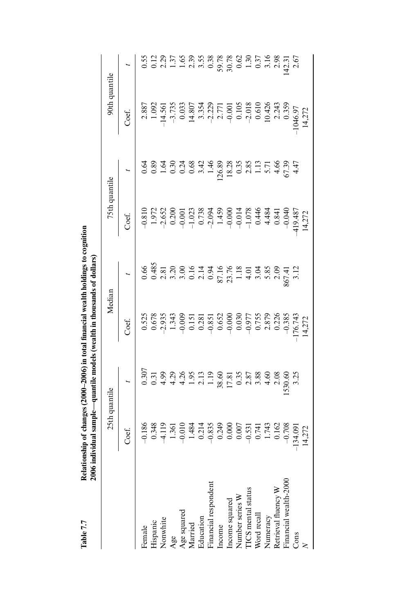|                                                                        | ividual sample-                                                                                                                                                                                                                                                       |                                                                                                                                                                                     | -quantile models (wealth in thousands of dollars)                                                                                                                                                                                                         |                               |                                                                                                                                                                                                                                                                                                               |  |
|------------------------------------------------------------------------|-----------------------------------------------------------------------------------------------------------------------------------------------------------------------------------------------------------------------------------------------------------------------|-------------------------------------------------------------------------------------------------------------------------------------------------------------------------------------|-----------------------------------------------------------------------------------------------------------------------------------------------------------------------------------------------------------------------------------------------------------|-------------------------------|---------------------------------------------------------------------------------------------------------------------------------------------------------------------------------------------------------------------------------------------------------------------------------------------------------------|--|
|                                                                        |                                                                                                                                                                                                                                                                       | 25th quantile                                                                                                                                                                       | Median                                                                                                                                                                                                                                                    | 75th quantile                 | 90th quantile                                                                                                                                                                                                                                                                                                 |  |
|                                                                        | Coef.                                                                                                                                                                                                                                                                 |                                                                                                                                                                                     | Coef                                                                                                                                                                                                                                                      | Coet                          | Coef                                                                                                                                                                                                                                                                                                          |  |
| Female                                                                 |                                                                                                                                                                                                                                                                       |                                                                                                                                                                                     |                                                                                                                                                                                                                                                           |                               |                                                                                                                                                                                                                                                                                                               |  |
|                                                                        |                                                                                                                                                                                                                                                                       |                                                                                                                                                                                     |                                                                                                                                                                                                                                                           |                               |                                                                                                                                                                                                                                                                                                               |  |
| Hispanic<br>Nonwhite                                                   | $\begin{array}{l} 88.43 & 10.50 & 10.50 & 10.50 & 10.50 & 10.50 & 10.50 & 10.50 & 10.50 & 10.50 & 10.50 & 10.50 & 10.50 & 10.50 & 10.50 & 10.50 & 10.50 & 10.50 & 10.50 & 10.50 & 10.50 & 10.50 & 10.50 & 10.50 & 10.50 & 10.50 & 10.50 & 10.50 & 10.50 & 10.50 & 10$ | $0.307$<br>$0.303$<br>$0.444$<br>$0.51$<br>$0.53$<br>$0.53$<br>$0.53$<br>$0.53$<br>$0.53$<br>$0.53$<br>$0.53$<br>$0.53$<br>$0.53$<br>$0.53$<br>$0.53$<br>$0.53$<br>$0.53$<br>$0.53$ | $35.88$<br>$35.83$<br>$35.83$<br>$35.83$<br>$35.83$<br>$35.83$<br>$35.83$<br>$35.83$<br>$35.83$<br>$35.83$<br>$35.83$<br>$35.83$<br>$35.83$<br>$35.83$<br>$35.83$<br>$35.83$<br>$35.83$<br>$35.83$<br>$35.83$<br>$35.83$<br>$35.83$<br>$35.83$<br>$35.83$ |                               | $2.887$<br>1.092<br>1.561<br>-14.561<br>-3.735                                                                                                                                                                                                                                                                |  |
|                                                                        |                                                                                                                                                                                                                                                                       |                                                                                                                                                                                     |                                                                                                                                                                                                                                                           |                               |                                                                                                                                                                                                                                                                                                               |  |
| Age<br>Age squared<br>Married<br>Education<br>Einancial respondent     |                                                                                                                                                                                                                                                                       |                                                                                                                                                                                     |                                                                                                                                                                                                                                                           |                               |                                                                                                                                                                                                                                                                                                               |  |
|                                                                        |                                                                                                                                                                                                                                                                       |                                                                                                                                                                                     |                                                                                                                                                                                                                                                           |                               |                                                                                                                                                                                                                                                                                                               |  |
|                                                                        |                                                                                                                                                                                                                                                                       |                                                                                                                                                                                     |                                                                                                                                                                                                                                                           |                               |                                                                                                                                                                                                                                                                                                               |  |
|                                                                        |                                                                                                                                                                                                                                                                       |                                                                                                                                                                                     |                                                                                                                                                                                                                                                           |                               |                                                                                                                                                                                                                                                                                                               |  |
| Income                                                                 |                                                                                                                                                                                                                                                                       |                                                                                                                                                                                     |                                                                                                                                                                                                                                                           |                               |                                                                                                                                                                                                                                                                                                               |  |
| Income squared<br>Number series W<br>TICS mental status<br>Word recall |                                                                                                                                                                                                                                                                       |                                                                                                                                                                                     |                                                                                                                                                                                                                                                           |                               | $\begin{array}{c} 0.033 \\ 0.035 \\ 0.07 \\ 0.07 \\ 0.07 \\ 0.07 \\ 0.07 \\ 0.07 \\ 0.07 \\ 0.07 \\ 0.07 \\ 0.07 \\ 0.07 \\ 0.07 \\ 0.07 \\ 0.07 \\ 0.07 \\ 0.03 \\ 0.03 \\ 0.03 \\ 0.03 \\ 0.03 \\ 0.03 \\ 0.03 \\ 0.03 \\ 0.03 \\ 0.03 \\ 0.03 \\ 0.03 \\ 0.03 \\ 0.03 \\ 0.03 \\ 0.03 \\ 0.03 \\ 0.03 \\ $ |  |
|                                                                        |                                                                                                                                                                                                                                                                       |                                                                                                                                                                                     |                                                                                                                                                                                                                                                           |                               |                                                                                                                                                                                                                                                                                                               |  |
|                                                                        |                                                                                                                                                                                                                                                                       |                                                                                                                                                                                     |                                                                                                                                                                                                                                                           |                               |                                                                                                                                                                                                                                                                                                               |  |
|                                                                        |                                                                                                                                                                                                                                                                       |                                                                                                                                                                                     |                                                                                                                                                                                                                                                           |                               |                                                                                                                                                                                                                                                                                                               |  |
| Numeracy<br>Retrieval fluency W                                        |                                                                                                                                                                                                                                                                       |                                                                                                                                                                                     |                                                                                                                                                                                                                                                           |                               |                                                                                                                                                                                                                                                                                                               |  |
|                                                                        |                                                                                                                                                                                                                                                                       |                                                                                                                                                                                     |                                                                                                                                                                                                                                                           |                               |                                                                                                                                                                                                                                                                                                               |  |
| Financial wealth-2000                                                  |                                                                                                                                                                                                                                                                       |                                                                                                                                                                                     |                                                                                                                                                                                                                                                           |                               |                                                                                                                                                                                                                                                                                                               |  |
| Cons                                                                   |                                                                                                                                                                                                                                                                       |                                                                                                                                                                                     |                                                                                                                                                                                                                                                           | $-0.040$<br>419.487<br>14,272 | 1046.97<br>14,272                                                                                                                                                                                                                                                                                             |  |
|                                                                        |                                                                                                                                                                                                                                                                       |                                                                                                                                                                                     |                                                                                                                                                                                                                                                           |                               |                                                                                                                                                                                                                                                                                                               |  |

Relationship of changes (2000-2006) in total financial wealth holdings to cognition Table 7.7 Relationship of changes (2000–2006) in total financial wealth holdings to cognition

Table 7.7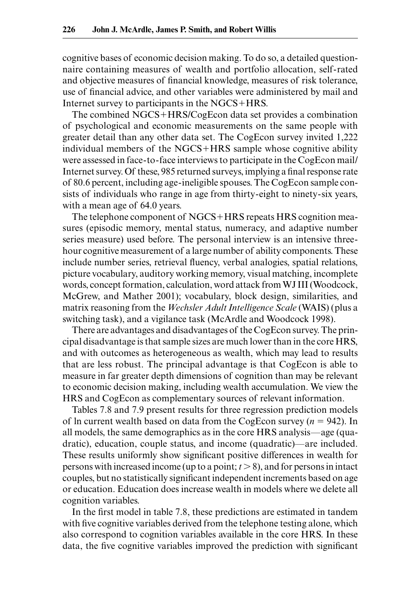cognitive bases of economic decision making. To do so, a detailed questionnaire containing measures of wealth and portfolio allocation, self- rated and objective measures of financial knowledge, measures of risk tolerance, use of financial advice, and other variables were administered by mail and Internet survey to participants in the  $NGCS + HRS$ .

The combined NGCS+HRS/CogEcon data set provides a combination of psychological and economic measurements on the same people with greater detail than any other data set. The CogEcon survey invited 1,222 individual members of the NGCS+HRS sample whose cognitive ability were assessed in face- to- face interviews to participate in the CogEcon mail/ Internet survey. Of these, 985 returned surveys, implying a final response rate of 80.6 percent, including age- ineligible spouses. The CogEcon sample consists of individuals who range in age from thirty-eight to ninety-six years, with a mean age of 64.0 years.

The telephone component of NGCS+HRS repeats HRS cognition measures (episodic memory, mental status, numeracy, and adaptive number series measure) used before. The personal interview is an intensive three hour cognitive measurement of a large number of ability components. These include number series, retrieval fluency, verbal analogies, spatial relations, picture vocabulary, auditory working memory, visual matching, incomplete words, concept formation, calculation, word attack from WJ III (Woodcock, McGrew, and Mather 2001); vocabulary, block design, similarities, and matrix reasoning from the *Wechsler Adult Intelligence Scale* (WAIS) (plus a switching task), and a vigilance task (McArdle and Woodcock 1998).

There are advantages and disadvantages of the CogEcon survey. The principal disadvantage is that sample sizes are much lower than in the core HRS, and with outcomes as heterogeneous as wealth, which may lead to results that are less robust. The principal advantage is that CogEcon is able to measure in far greater depth dimensions of cognition than may be relevant to economic decision making, including wealth accumulation. We view the HRS and CogEcon as complementary sources of relevant information.

Tables 7.8 and 7.9 present results for three regression prediction models of ln current wealth based on data from the CogEcon survey ( $n = 942$ ). In all models, the same demographics as in the core HRS analysis—age (quadratic), education, couple status, and income (quadratic)—are included. These results uniformly show significant positive differences in wealth for persons with increased income (up to a point;  $t > 8$ ), and for persons in intact couples, but no statistically significant independent increments based on age or education. Education does increase wealth in models where we delete all cognition variables.

In the first model in table 7.8, these predictions are estimated in tandem with five cognitive variables derived from the telephone testing alone, which also correspond to cognition variables available in the core HRS. In these data, the five cognitive variables improved the prediction with significant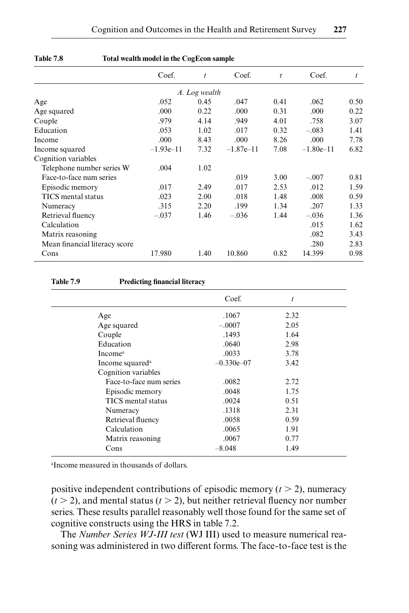|                               | Coef.       | $\mathfrak{t}$ | Coef.       | $\boldsymbol{t}$ | Coef.       | t    |
|-------------------------------|-------------|----------------|-------------|------------------|-------------|------|
|                               |             |                |             |                  |             |      |
|                               |             | A. Log wealth  |             |                  |             |      |
| Age                           | .052        | 0.45           | .047        | 0.41             | .062        | 0.50 |
| Age squared                   | .000        | 0.22           | .000        | 0.31             | .000        | 0.22 |
| Couple                        | .979        | 4.14           | .949        | 4.01             | .758        | 3.07 |
| Education                     | .053        | 1.02           | .017        | 0.32             | $-.083$     | 1.41 |
| Income                        | .000        | 8.43           | .000        | 8.26             | .000        | 7.78 |
| Income squared                | $-1.93e-11$ | 7.32           | $-1.87e-11$ | 7.08             | $-1.80e-11$ | 6.82 |
| Cognition variables           |             |                |             |                  |             |      |
| Telephone number series W     | .004        | 1.02           |             |                  |             |      |
| Face-to-face num series       |             |                | .019        | 3.00             | $-.007$     | 0.81 |
| Episodic memory               | .017        | 2.49           | .017        | 2.53             | .012        | 1.59 |
| TICS mental status            | .023        | 2.00           | .018        | 1.48             | .008        | 0.59 |
| Numeracy                      | .315        | 2.20           | .199        | 1.34             | .207        | 1.33 |
| Retrieval fluency             | $-.037$     | 1.46           | $-.036$     | 1.44             | $-.036$     | 1.36 |
| Calculation                   |             |                |             |                  | .015        | 1.62 |
| Matrix reasoning              |             |                |             |                  | .082        | 3.43 |
| Mean financial literacy score |             |                |             |                  | .280        | 2.83 |
| Cons                          | 17.980      | 1.40           | 10.860      | 0.82             | 14.399      | 0.98 |
|                               |             |                |             |                  |             |      |

#### **Table 7.8 Total wealth model in the CogEcon sample**

Table 7.9 **Predicting financial literacy** 

|                             | Coef.          |      |  |
|-----------------------------|----------------|------|--|
| Age                         | .1067          | 2.32 |  |
| Age squared                 | $-.0007$       | 2.05 |  |
| Couple                      | .1493          | 1.64 |  |
| Education                   | .0640          | 2.98 |  |
| Income <sup>a</sup>         | .0033          | 3.78 |  |
| Income squared <sup>a</sup> | $-0.330e - 07$ | 3.42 |  |
| Cognition variables         |                |      |  |
| Face-to-face num series     | .0082          | 2.72 |  |
| Episodic memory             | .0048          | 1.75 |  |
| TICS mental status          | .0024          | 0.51 |  |
| Numeracy                    | .1318          | 2.31 |  |
| Retrieval fluency           | .0058          | 0.59 |  |
| Calculation                 | .0065          | 1.91 |  |
| Matrix reasoning            | .0067          | 0.77 |  |
| Cons                        | $-8.048$       | 1.49 |  |
|                             |                |      |  |

a Income measured in thousands of dollars.

positive independent contributions of episodic memory  $(t > 2)$ , numeracy  $(t > 2)$ , and mental status  $(t > 2)$ , but neither retrieval fluency nor number series. These results parallel reasonably well those found for the same set of cognitive constructs using the HRS in table 7.2.

The *Number Series WJ-III test* (WJ III) used to measure numerical reasoning was administered in two different forms. The face- to- face test is the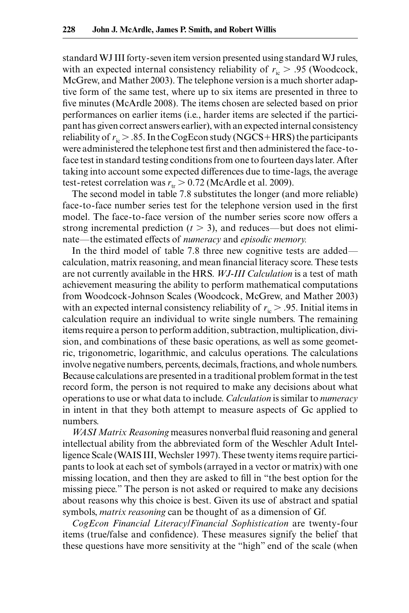standard WJ III forty- seven item version presented using standard WJ rules, with an expected internal consistency reliability of  $r_i > .95$  (Woodcock, McGrew, and Mather 2003). The telephone version is a much shorter adaptive form of the same test, where up to six items are presented in three to five minutes (McArdle 2008). The items chosen are selected based on prior performances on earlier items (i.e., harder items are selected if the participant has given correct answers earlier), with an expected internal consistency reliability of  $r_c > .85$ . In the CogEcon study (NGCS+HRS) the participants were administered the telephone test first and then administered the face-to face test in standard testing conditions from one to fourteen days later. After taking into account some expected differences due to time- lags, the average test-retest correlation was  $r_{tr} > 0.72$  (McArdle et al. 2009).

The second model in table 7.8 substitutes the longer (and more reliable) face-to-face number series test for the telephone version used in the first model. The face-to-face version of the number series score now offers a strong incremental prediction  $(t > 3)$ , and reduces—but does not eliminate—the estimated effects of *numeracy* and *episodic memory.*

In the third model of table 7.8 three new cognitive tests are added calculation, matrix reasoning, and mean financial literacy score. These tests are not currently available in the HRS. WJ-III Calculation is a test of math achievement measuring the ability to perform mathematical computations from Woodcock- Johnson Scales (Woodcock, McGrew, and Mather 2003) with an expected internal consistency reliability of  $r_i > .95$ . Initial items in calculation require an individual to write single numbers. The remaining items require a person to perform addition, subtraction, multiplication, division, and combinations of these basic operations, as well as some geometric, trigonometric, logarithmic, and calculus operations. The calculations involve negative numbers, percents, decimals, fractions, and whole numbers. Because calculations are presented in a traditional problem format in the test record form, the person is not required to make any decisions about what operations to use or what data to include. *Calculation* is similar to *numeracy* in intent in that they both attempt to measure aspects of Gc applied to numbers.

*WASI Matrix Reasoning* measures nonverbal fluid reasoning and general intellectual ability from the abbreviated form of the Weschler Adult Intelligence Scale (WAIS III, Wechsler 1997). These twenty items require participants to look at each set of symbols (arrayed in a vector or matrix) with one missing location, and then they are asked to fill in "the best option for the missing piece." The person is not asked or required to make any decisions about reasons why this choice is best. Given its use of abstract and spatial symbols, *matrix reasoning* can be thought of as a dimension of Gf.

*CogEcon Financial Literacy/Financial Sophistication* are twenty- four items (true/false and confidence). These measures signify the belief that these questions have more sensitivity at the "high" end of the scale (when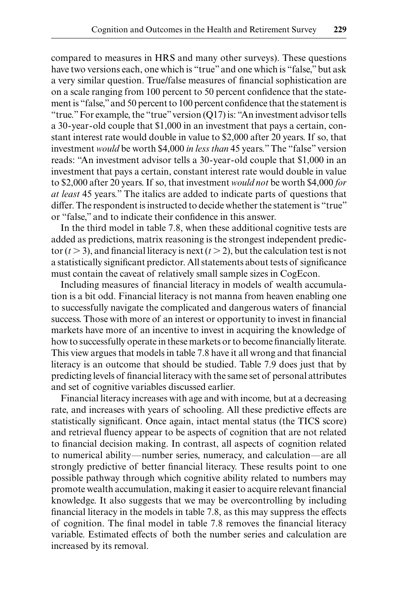compared to measures in HRS and many other surveys). These questions have two versions each, one which is "true" and one which is "false," but ask a very similar question. True/false measures of financial sophistication are on a scale ranging from 100 percent to 50 percent confidence that the statement is "false," and 50 percent to 100 percent confidence that the statement is "true." For example, the "true" version (Q17) is: "An investment advisor tells a 30- year- old couple that \$1,000 in an investment that pays a certain, constant interest rate would double in value to \$2,000 after 20 years. If so, that investment *would* be worth \$4,000 *in less than* 45 years." The "false" version reads: "An investment advisor tells a 30- year- old couple that \$1,000 in an investment that pays a certain, constant interest rate would double in value to \$2,000 after 20 years. If so, that investment *would not* be worth \$4,000 *for at least* 45 years." The italics are added to indicate parts of questions that differ. The respondent is instructed to decide whether the statement is "true" or "false," and to indicate their confidence in this answer.

In the third model in table 7.8, when these additional cognitive tests are added as predictions, matrix reasoning is the strongest independent predictor  $(t > 3)$ , and financial literacy is next  $(t > 2)$ , but the calculation test is not a statistically significant predictor. All statements about tests of significance must contain the caveat of relatively small sample sizes in CogEcon.

Including measures of financial literacy in models of wealth accumulation is a bit odd. Financial literacy is not manna from heaven enabling one to successfully navigate the complicated and dangerous waters of financial success. Those with more of an interest or opportunity to invest in financial markets have more of an incentive to invest in acquiring the knowledge of how to successfully operate in these markets or to become financially literate. This view argues that models in table 7.8 have it all wrong and that financial literacy is an outcome that should be studied. Table 7.9 does just that by predicting levels of financial literacy with the same set of personal attributes and set of cognitive variables discussed earlier.

Financial literacy increases with age and with income, but at a decreasing rate, and increases with years of schooling. All these predictive effects are statistically significant. Once again, intact mental status (the TICS score) and retrieval fluency appear to be aspects of cognition that are not related to financial decision making. In contrast, all aspects of cognition related to numerical ability—number series, numeracy, and calculation—are all strongly predictive of better financial literacy. These results point to one possible pathway through which cognitive ability related to numbers may promote wealth accumulation, making it easier to acquire relevant financial knowledge. It also suggests that we may be overcontrolling by including financial literacy in the models in table 7.8, as this may suppress the effects of cognition. The final model in table 7.8 removes the financial literacy variable. Estimated effects of both the number series and calculation are increased by its removal.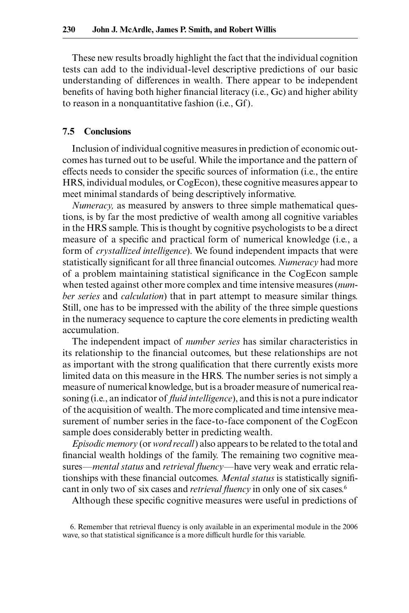These new results broadly highlight the fact that the individual cognition tests can add to the individual- level descriptive predictions of our basic understanding of differences in wealth. There appear to be independent benefits of having both higher financial literacy (i.e., Gc) and higher ability to reason in a nonquantitative fashion (i.e., Gf).

### **7.5 Conclusions**

Inclusion of individual cognitive measures in prediction of economic outcomes has turned out to be useful. While the importance and the pattern of effects needs to consider the specific sources of information (i.e., the entire HRS, individual modules, or CogEcon), these cognitive measures appear to meet minimal standards of being descriptively informative.

*Numeracy,* as measured by answers to three simple mathematical questions, is by far the most predictive of wealth among all cognitive variables in the HRS sample. This is thought by cognitive psychologists to be a direct measure of a specific and practical form of numerical knowledge (i.e., a form of *crystallized intelligence*). We found independent impacts that were statistically significant for all three financial outcomes. *Numeracy* had more of a problem maintaining statistical significance in the CogEcon sample when tested against other more complex and time intensive measures (*number series* and *calculation*) that in part attempt to measure similar things. Still, one has to be impressed with the ability of the three simple questions in the numeracy sequence to capture the core elements in predicting wealth accumulation.

The independent impact of *number series* has similar characteristics in its relationship to the financial outcomes, but these relationships are not as important with the strong qualification that there currently exists more limited data on this measure in the HRS. The number series is not simply a measure of numerical knowledge, but is a broader measure of numerical reasoning (i.e., an indicator of *fluid intelligence*), and this is not a pure indicator of the acquisition of wealth. The more complicated and time intensive measurement of number series in the face- to- face component of the CogEcon sample does considerably better in predicting wealth.

*Episodic memory* (or *word recall*) also appears to be related to the total and financial wealth holdings of the family. The remaining two cognitive measures—*mental status* and *retrieval fluency*—have very weak and erratic relationships with these financial outcomes. *Mental status* is statistically significant in only two of six cases and *retrieval fluency* in only one of six cases.<sup>6</sup>

Although these specific cognitive measures were useful in predictions of

<sup>6.</sup> Remember that retrieval fluency is only available in an experimental module in the 2006 wave, so that statistical significance is a more difficult hurdle for this variable.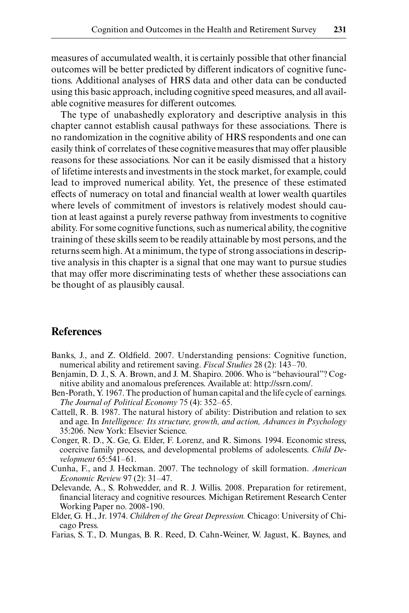measures of accumulated wealth, it is certainly possible that other financial outcomes will be better predicted by different indicators of cognitive functions. Additional analyses of HRS data and other data can be conducted using this basic approach, including cognitive speed measures, and all available cognitive measures for different outcomes.

The type of unabashedly exploratory and descriptive analysis in this chapter cannot establish causal pathways for these associations. There is no randomization in the cognitive ability of HRS respondents and one can easily think of correlates of these cognitive measures that may offer plausible reasons for these associations. Nor can it be easily dismissed that a history of lifetime interests and investments in the stock market, for example, could lead to improved numerical ability. Yet, the presence of these estimated effects of numeracy on total and financial wealth at lower wealth quartiles where levels of commitment of investors is relatively modest should caution at least against a purely reverse pathway from investments to cognitive ability. For some cognitive functions, such as numerical ability, the cognitive training of these skills seem to be readily attainable by most persons, and the returns seem high. At a minimum, the type of strong associations in descriptive analysis in this chapter is a signal that one may want to pursue studies that may offer more discriminating tests of whether these associations can be thought of as plausibly causal.

# **References**

- Banks, J., and Z. Oldfield. 2007. Understanding pensions: Cognitive function, numerical ability and retirement saving. *Fiscal Studies* 28 (2): 143–70.
- Benjamin, D. J., S. A. Brown, and J. M. Shapiro. 2006. Who is "behavioural"? Cognitive ability and anomalous preferences. Available at: http://ssrn.com/.
- Ben- Porath, Y. 1967. The production of human capital and the life cycle of earnings. *The Journal of Political Economy* 75 (4): 352–65.
- Cattell, R. B. 1987. The natural history of ability: Distribution and relation to sex and age. In *Intelligence: Its structure, growth, and action, Advances in Psychology* 35:206. New York: Elsevier Science.
- Conger, R. D., X. Ge, G. Elder, F. Lorenz, and R. Simons. 1994. Economic stress, coercive family process, and developmental problems of adolescents. *Child Development* 65:541–61.
- Cunha, F., and J. Heckman. 2007. The technology of skill formation. *American Economic Review* 97 (2): 31–47.
- Delevande, A., S. Rohwedder, and R. J. Willis. 2008. Preparation for retirement, financial literacy and cognitive resources. Michigan Retirement Research Center Working Paper no. 2008- 190.
- Elder, G. H., Jr. 1974. *Children of the Great Depression.* Chicago: University of Chicago Press.
- Farias, S. T., D. Mungas, B. R. Reed, D. Cahn- Weiner, W. Jagust, K. Baynes, and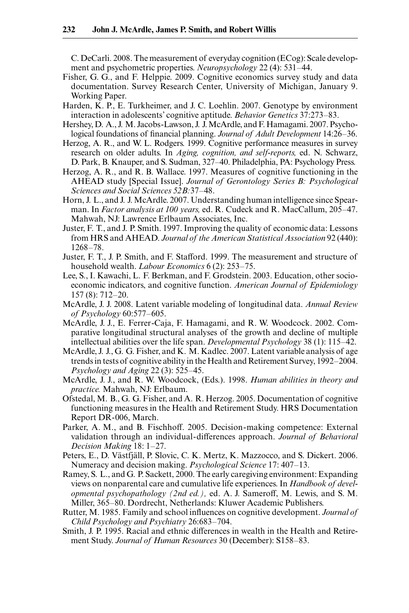C. DeCarli. 2008. The measurement of everyday cognition (ECog): Scale development and psychometric properties. *Neuropsychology* 22 (4): 531–44.

- Fisher, G. G., and F. Helppie. 2009. Cognitive economics survey study and data documentation. Survey Research Center, University of Michigan, January 9. Working Paper.
- Harden, K. P., E. Turkheimer, and J. C. Loehlin. 2007. Genotype by environment interaction in adolescents' cognitive aptitude. *Behavior Genetics* 37:273–83.
- Hershey, D. A., J. M. Jacobs- Lawson, J. J. McArdle, and F. Hamagami. 2007. Psychological foundations of financial planning. *Journal of Adult Development* 14:26–36.
- Herzog, A. R., and W. L. Rodgers. 1999. Cognitive performance measures in survey research on older adults. In *Aging, cognition, and self- reports,* ed. N. Schwarz, D. Park, B. Knauper, and S. Sudman, 327–40. Philadelphia, PA: Psychology Press.
- Herzog, A. R., and R. B. Wallace. 1997. Measures of cognitive functioning in the AHEAD study [Special Issue]. *Journal of Gerontology Series B: Psychological Sciences and Social Sciences 52B:*37–48.
- Horn, J. L., and J. J. McArdle. 2007. Understanding human intelligence since Spearman. In *Factor analysis at 100 years,* ed. R. Cudeck and R. MacCallum, 205–47. Mahwah, NJ: Lawrence Erlbaum Associates, Inc.
- Juster, F. T., and J. P. Smith. 1997. Improving the quality of economic data: Lessons from HRS and AHEAD. *Journal of the American Statistical Association* 92 (440): 1268–78.
- Juster, F. T., J. P. Smith, and F. Stafford. 1999. The measurement and structure of household wealth. *Labour Economics* 6 (2): 253–75.
- Lee, S., I. Kawachi, L. F. Berkman, and F. Grodstein. 2003. Education, other socioeconomic indicators, and cognitive function. *American Journal of Epidemiology* 157 (8): 712–20.
- McArdle, J. J. 2008. Latent variable modeling of longitudinal data. *Annual Review of Psychology* 60:577–605.
- McArdle, J. J., E. Ferrer- Caja, F. Hamagami, and R. W. Woodcock. 2002. Comparative longitudinal structural analyses of the growth and decline of multiple intellectual abilities over the life span. *Developmental Psychology* 38 (1): 115–42.
- McArdle, J. J., G. G. Fisher, and K. M. Kadlec. 2007. Latent variable analysis of age trends in tests of cognitive ability in the Health and Retirement Survey, 1992–2004. *Psychology and Aging* 22 (3): 525–45.
- McArdle, J. J., and R. W. Woodcock, (Eds.). 1998. *Human abilities in theory and practice.* Mahwah, NJ: Erlbaum.
- Ofstedal, M. B., G. G. Fisher, and A. R. Herzog. 2005. Documentation of cognitive functioning measures in the Health and Retirement Study. HRS Documentation Report DR-006, March.
- Parker, A. M., and B. Fischhoff. 2005. Decision- making competence: External validation through an individual- differences approach. *Journal of Behavioral Decision Making* 18: 1–27.
- Peters, E., D. Västfjäll, P. Slovic, C. K. Mertz, K. Mazzocco, and S. Dickert. 2006. Numeracy and decision making. *Psychological Science* 17: 407–13.
- Ramey, S. L., and G. P. Sackett, 2000. The early caregiving environment: Expanding views on nonparental care and cumulative life experiences. In *Handbook of developmental psychopathology (2nd ed.),* ed. A. J. Sameroff, M. Lewis, and S. M. Miller, 365–80. Dordrecht, Netherlands: Kluwer Academic Publishers.
- Rutter, M. 1985. Family and school influences on cognitive development. *Journal of Child Psychology and Psychiatry* 26:683–704.
- Smith, J. P. 1995. Racial and ethnic differences in wealth in the Health and Retirement Study. *Journal of Human Resources* 30 (December): S158–83.